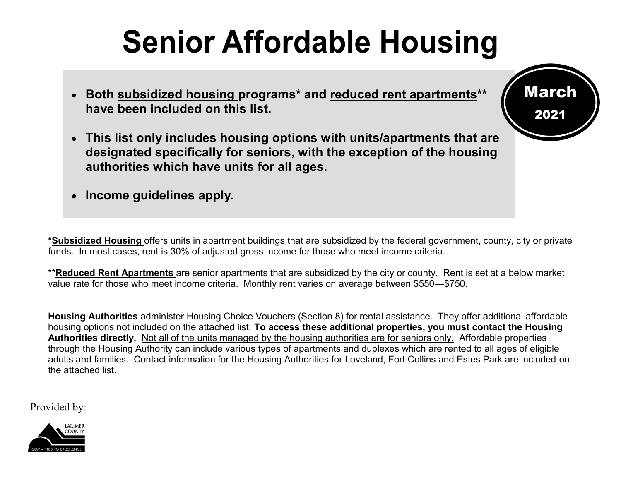# **Senior Affordable Housing**

- **Both subsidized housing programs\* and reduced rent apartments\*\* have been included on this list.**
- **This list only includes housing options with units/apartments that are designated specifically for seniors, with the exception of the housing authorities which have units for all ages.**
- **Income guidelines apply.**

**\*Subsidized Housing** offers units in apartment buildings that are subsidized by the federal government, county, city or private funds. In most cases, rent is 30% of adjusted gross income for those who meet income criteria.

\*\***Reduced Rent Apartments** are senior apartments that are subsidized by the city or county. Rent is set at a below market value rate for those who meet income criteria. Monthly rent varies on average between \$550—\$750.

**Housing Authorities** administer Housing Choice Vouchers (Section 8) for rental assistance. They offer additional affordable housing options not included on the attached list. **To access these additional properties, you must contact the Housing Authorities directly.** Not all of the units managed by the housing authorities are for seniors only. Affordable properties through the Housing Authority can include various types of apartments and duplexes which are rented to all ages of eligible adults and families. Contact information for the Housing Authorities for Loveland, Fort Collins and Estes Park are included on the attached list.

Provided by:



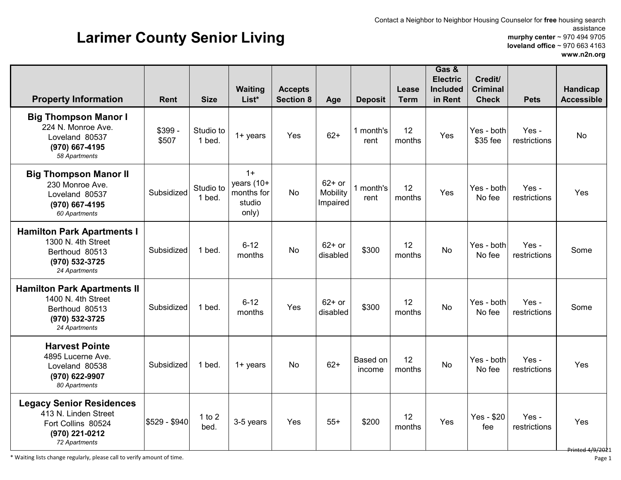#### Contact a Neighbor to Neighbor Housing Counselor for **free** housing search assistance **murphy center** ~ 970 494 9705 **loveland office** ~ 970 663 4163

## **Larimer County Senior Living**

**Waiting List\***

**Accepts**

|       |                   |               |                                                        |                                            |                       | $10$ veianu onice ~ 970 003 4103<br>www.n2n.org |
|-------|-------------------|---------------|--------------------------------------------------------|--------------------------------------------|-----------------------|-------------------------------------------------|
| Age   | <b>Deposit</b>    | Lease<br>Term | Gas &<br><b>Electric</b><br><b>Included</b><br>in Rent | Credit/<br><b>Criminal</b><br><b>Check</b> | <b>Pets</b>           | Handicap<br><b>Accessible</b>                   |
| $62+$ | 1 month's<br>rent | 12<br>months  | Yes                                                    | Yes - both<br>\$35 fee                     | Yes -<br>restrictions | No                                              |

| <b>Property Information</b>                                                                                      | <b>Rent</b>      | <b>Size</b>         | List*                                               | <b>Section 8</b> | Age                              | <b>Deposit</b>     | <b>Term</b>  | in Rent   | <b>Check</b>           | <b>Pets</b>           | <b>Accessible</b>             |
|------------------------------------------------------------------------------------------------------------------|------------------|---------------------|-----------------------------------------------------|------------------|----------------------------------|--------------------|--------------|-----------|------------------------|-----------------------|-------------------------------|
| <b>Big Thompson Manor I</b><br>224 N. Monroe Ave.<br>Loveland 80537<br>(970) 667-4195<br>58 Apartments           | \$399 -<br>\$507 | Studio to<br>1 bed. | $1 +$ years                                         | Yes              | $62+$                            | 1 month's<br>rent  | 12<br>months | Yes       | Yes - both<br>\$35 fee | Yes -<br>restrictions | <b>No</b>                     |
| <b>Big Thompson Manor II</b><br>230 Monroe Ave.<br>Loveland 80537<br>(970) 667-4195<br>60 Apartments             | Subsidized       | Studio to<br>1 bed. | $1+$<br>years (10+<br>months for<br>studio<br>only) | <b>No</b>        | $62+$ or<br>Mobility<br>Impaired | 1 month's<br>rent  | 12<br>months | Yes       | Yes - both<br>No fee   | Yes -<br>restrictions | Yes                           |
| <b>Hamilton Park Apartments I</b><br>1300 N. 4th Street<br>Berthoud 80513<br>(970) 532-3725<br>24 Apartments     | Subsidized       | 1 bed.              | $6 - 12$<br>months                                  | <b>No</b>        | $62+$ or<br>disabled             | \$300              | 12<br>months | <b>No</b> | Yes - both<br>No fee   | Yes-<br>restrictions  | Some                          |
| <b>Hamilton Park Apartments II</b><br>1400 N. 4th Street<br>Berthoud 80513<br>(970) 532-3725<br>24 Apartments    | Subsidized       | 1 bed.              | $6 - 12$<br>months                                  | Yes              | $62+$ or<br>disabled             | \$300              | 12<br>months | <b>No</b> | Yes - both<br>No fee   | Yes -<br>restrictions | Some                          |
| <b>Harvest Pointe</b><br>4895 Lucerne Ave.<br>Loveland 80538<br>(970) 622-9907<br>80 Apartments                  | Subsidized       | 1 bed.              | $1 +$ years                                         | No               | $62+$                            | Based on<br>income | 12<br>months | <b>No</b> | Yes - both<br>No fee   | Yes -<br>restrictions | Yes                           |
| <b>Legacy Senior Residences</b><br>413 N. Linden Street<br>Fort Collins 80524<br>(970) 221-0212<br>72 Apartments | \$529 - \$940    | 1 to $2$<br>bed.    | 3-5 years                                           | Yes              | $55+$                            | \$200              | 12<br>months | Yes       | Yes - \$20<br>fee      | Yes -<br>restrictions | Yes<br><b>Printed 4/9/202</b> |

\* Waiting lists change regularly, please call to verify amount of time.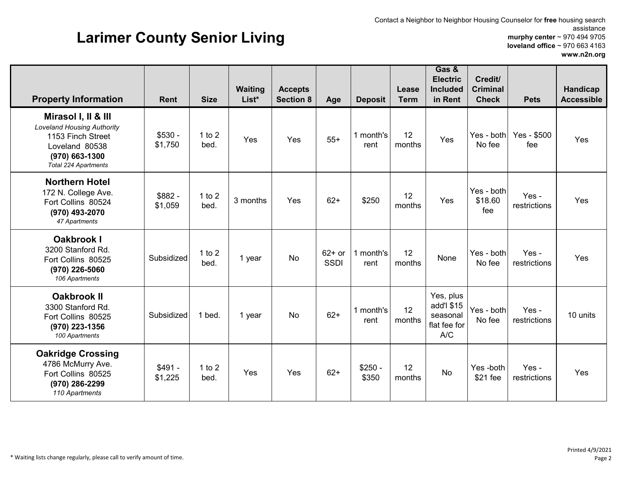#### Contact a Neighbor to Neighbor Housing Counselor for **free** housing search assistance **murphy center** ~ 970 494 9705 **loveland office** ~ 970 663 4163 **www.n2n.org**

A/C

months No Yes -both \$21 fee

## **Larimer County Senior Living**

 \$491 - \$1,225 1 to 2

l to 2 | Yes | Yes | 62+ | \$250 -<br>bed. | Yes | Yes | 62+ | \$350

| <b>Property Information</b>                                                                                                                        | <b>Rent</b>         | <b>Size</b>      | <b>Waiting</b><br>List* | <b>Accepts</b><br><b>Section 8</b> | Age                     | <b>Deposit</b>    | Lease<br><b>Term</b> | Gas &<br><b>Electric</b><br><b>Included</b><br>in Rent | Credit/<br><b>Criminal</b><br><b>Check</b> | <b>Pets</b>           | Handicap<br><b>Accessible</b> |
|----------------------------------------------------------------------------------------------------------------------------------------------------|---------------------|------------------|-------------------------|------------------------------------|-------------------------|-------------------|----------------------|--------------------------------------------------------|--------------------------------------------|-----------------------|-------------------------------|
| Mirasol I, II & III<br><b>Loveland Housing Authority</b><br>1153 Finch Street<br>Loveland 80538<br>$(970)$ 663-1300<br><b>Total 224 Apartments</b> | $$530 -$<br>\$1,750 | 1 to $2$<br>bed. | Yes                     | Yes                                | $55+$                   | 1 month's<br>rent | 12<br>months         | Yes                                                    | Yes - both<br>No fee                       | Yes - \$500<br>fee    | Yes                           |
| <b>Northern Hotel</b><br>172 N. College Ave.<br>Fort Collins 80524<br>(970) 493-2070<br>47 Apartments                                              | \$882 -<br>\$1,059  | 1 to $2$<br>bed. | 3 months                | Yes                                | $62+$                   | \$250             | 12<br>months         | Yes                                                    | Yes - both<br>\$18.60<br>fee               | Yes -<br>restrictions | Yes                           |
| <b>Oakbrook I</b><br>3200 Stanford Rd.<br>Fort Collins 80525<br>(970) 226-5060<br>106 Apartments                                                   | Subsidized          | 1 to $2$<br>bed. | 1 year                  | No                                 | $62+$ or<br><b>SSDI</b> | month's<br>rent   | 12<br>months         | None                                                   | Yes - both<br>No fee                       | Yes-<br>restrictions  | Yes                           |
| <b>Oakbrook II</b><br>3300 Stanford Rd.<br>Fort Collins 80525<br>(970) 223-1356                                                                    | Subsidized          | 1 bed.           | 1 year                  | No                                 | $62+$                   | 1 month's<br>rent | 12<br>months         | Yes, plus<br>add'l \$15<br>seasonal<br>flat fee for    | Yes - both<br>No fee                       | Yes-<br>restrictions  | 10 units                      |

\$350

12

*100 Apartments*

**Oakridge Crossing** 4786 McMurry Ave. Fort Collins 80525 **(970) 286-2299** *110 Apartments*

Yes -

restrictions Yes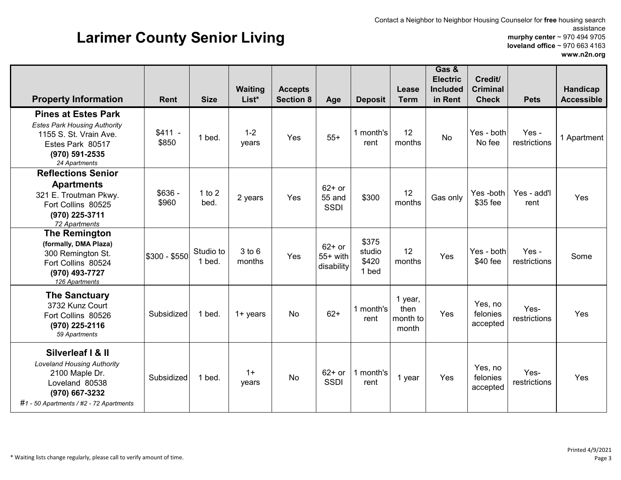#### Contact a Neighbor to Neighbor Housing Counselor for **free** housing search assistance **murphy center** ~ 970 494 9705 **loveland office** ~ 970 663 4163 **www.n2n.org**

## **Larimer County Senior Living**

| <b>Property Information</b>                                                                                                                             | <b>Rent</b>       | <b>Size</b>         | <b>Waiting</b><br>List* | <b>Accepts</b><br><b>Section 8</b> | Age                                  | <b>Deposit</b>                    | Lease<br><b>Term</b>                 | Gas &<br><b>Electric</b><br><b>Included</b><br>in Rent | Credit/<br><b>Criminal</b><br><b>Check</b> | <b>Pets</b>           | Handicap<br><b>Accessible</b> |
|---------------------------------------------------------------------------------------------------------------------------------------------------------|-------------------|---------------------|-------------------------|------------------------------------|--------------------------------------|-----------------------------------|--------------------------------------|--------------------------------------------------------|--------------------------------------------|-----------------------|-------------------------------|
| <b>Pines at Estes Park</b><br><b>Estes Park Housing Authority</b><br>1155 S. St. Vrain Ave.<br>Estes Park 80517<br>(970) 591-2535<br>24 Apartments      | $$411 -$<br>\$850 | 1 bed.              | $1 - 2$<br>years        | Yes                                | $55+$                                | 1 month's<br>rent                 | 12<br>months                         | <b>No</b>                                              | Yes - both<br>No fee                       | Yes -<br>restrictions | 1 Apartment                   |
| <b>Reflections Senior</b><br><b>Apartments</b><br>321 E. Troutman Pkwy.<br>Fort Collins 80525<br>(970) 225-3711<br>72 Apartments                        | $$636 -$<br>\$960 | 1 to $2$<br>bed.    | 2 years                 | Yes                                | $62+$ or<br>55 and<br><b>SSDI</b>    | \$300                             | 12<br>months                         | Gas only                                               | Yes-both<br>\$35 fee                       | Yes - add'l<br>rent   | Yes                           |
| <b>The Remington</b><br>(formally, DMA Plaza)<br>300 Remington St.<br>Fort Collins 80524<br>(970) 493-7727<br>126 Apartments                            | \$300 - \$550     | Studio to<br>1 bed. | 3 to 6<br>months        | Yes                                | $62+$ or<br>$55+$ with<br>disability | \$375<br>studio<br>\$420<br>1 bed | 12<br>months                         | Yes                                                    | Yes - both<br>\$40 fee                     | Yes -<br>restrictions | Some                          |
| <b>The Sanctuary</b><br>3732 Kunz Court<br>Fort Collins 80526<br>(970) 225-2116<br>59 Apartments                                                        | Subsidized        | 1 bed.              | $1 +$ years             | No                                 | $62+$                                | 1 month's<br>rent                 | 1 year,<br>then<br>month to<br>month | Yes                                                    | Yes, no<br>felonies<br>accepted            | Yes-<br>restrictions  | Yes                           |
| Silverleaf   & II<br><b>Loveland Housing Authority</b><br>2100 Maple Dr.<br>Loveland 80538<br>(970) 667-3232<br>#1 - 50 Apartments / #2 - 72 Apartments | Subsidized        | 1 bed.              | $1+$<br>years           | <b>No</b>                          | $62+$ or<br><b>SSDI</b>              | 1 month's<br>rent                 | 1 year                               | Yes                                                    | Yes, no<br>felonies<br>accepted            | Yes-<br>restrictions  | Yes                           |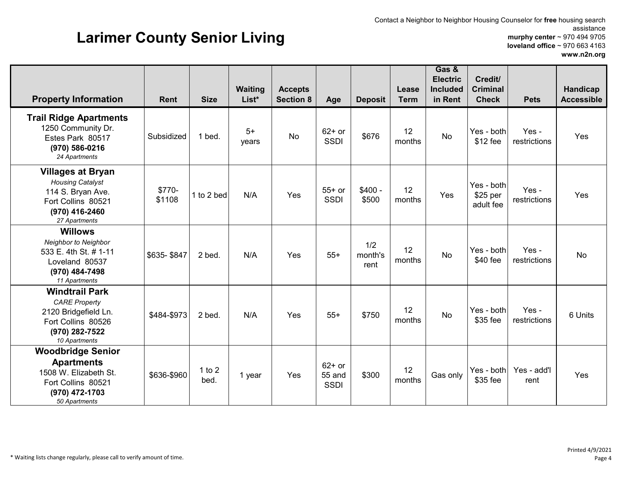## **Larimer County Senior Living**

Contact a Neighbor to Neighbor Housing Counselor for **free** housing search assistance **murphy center** ~ 970 494 9705 **loveland office** ~ 970 663 4163 **www.n2n.org**

| <b>Property Information</b>                                                                                                       | <b>Rent</b>      | <b>Size</b>      | <b>Waiting</b><br>List* | <b>Accepts</b><br><b>Section 8</b> | Age                               | <b>Deposit</b>         | Lease<br><b>Term</b> | Gas &<br><b>Electric</b><br><b>Included</b><br>in Rent | Credit/<br><b>Criminal</b><br><b>Check</b> | <b>Pets</b>           | Handicap<br><b>Accessible</b> |
|-----------------------------------------------------------------------------------------------------------------------------------|------------------|------------------|-------------------------|------------------------------------|-----------------------------------|------------------------|----------------------|--------------------------------------------------------|--------------------------------------------|-----------------------|-------------------------------|
| <b>Trail Ridge Apartments</b><br>1250 Community Dr.<br>Estes Park 80517<br>(970) 586-0216<br>24 Apartments                        | Subsidized       | 1 bed.           | $5+$<br>years           | <b>No</b>                          | $62+$ or<br><b>SSDI</b>           | \$676                  | 12<br>months         | <b>No</b>                                              | Yes - both<br>\$12 fee                     | Yes -<br>restrictions | Yes                           |
| <b>Villages at Bryan</b><br><b>Housing Catalyst</b><br>114 S. Bryan Ave.<br>Fort Collins 80521<br>(970) 416-2460<br>27 Apartments | \$770-<br>\$1108 | 1 to 2 bed       | N/A                     | Yes                                | $55+$ or<br><b>SSDI</b>           | $$400 -$<br>\$500      | 12<br>months         | Yes                                                    | Yes - both<br>\$25 per<br>adult fee        | Yes -<br>restrictions | Yes                           |
| <b>Willows</b><br>Neighbor to Neighbor<br>533 E. 4th St. # 1-11<br>Loveland 80537<br>(970) 484-7498<br>11 Apartments              | \$635-\$847      | 2 bed.           | N/A                     | Yes                                | $55+$                             | 1/2<br>month's<br>rent | 12<br>months         | <b>No</b>                                              | Yes - both<br>$$40$ fee                    | Yes -<br>restrictions | No                            |
| <b>Windtrail Park</b><br><b>CARE Property</b><br>2120 Bridgefield Ln.<br>Fort Collins 80526<br>(970) 282-7522<br>10 Apartments    | \$484-\$973      | 2 bed.           | N/A                     | Yes                                | $55+$                             | \$750                  | 12<br>months         | <b>No</b>                                              | Yes - both<br>\$35 fee                     | Yes -<br>restrictions | 6 Units                       |
| <b>Woodbridge Senior</b><br><b>Apartments</b><br>1508 W. Elizabeth St.<br>Fort Collins 80521<br>(970) 472-1703<br>50 Apartments   | \$636-\$960      | 1 to $2$<br>bed. | 1 year                  | Yes                                | $62+$ or<br>55 and<br><b>SSDI</b> | \$300                  | 12<br>months         | Gas only                                               | Yes - both<br>\$35 fee                     | Yes - add'l<br>rent   | Yes                           |